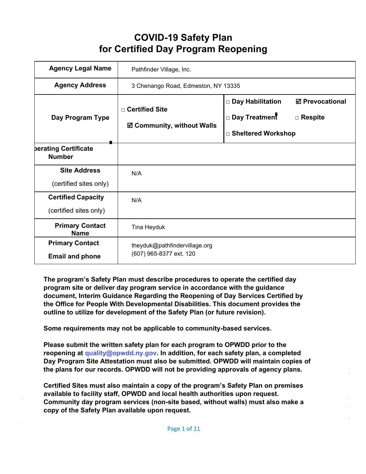# **COVID-19 Safety Plan for Certified Day Program Reopening**

| <b>Agency Legal Name</b>                            | Pathfinder Village, Inc.                                 |                                                                                                           |
|-----------------------------------------------------|----------------------------------------------------------|-----------------------------------------------------------------------------------------------------------|
| <b>Agency Address</b>                               | 3 Chenango Road, Edmeston, NY 13335                      |                                                                                                           |
| Day Program Type                                    | □ Certified Site<br>☑ Community, without Walls           | <b>Ø</b> Prevocational<br>□ Day Habilitation<br>□ Day Treatment<br>$\Box$ Respite<br>□ Sheltered Workshop |
| berating Certificate<br><b>Number</b>               |                                                          |                                                                                                           |
| <b>Site Address</b><br>(certified sites only)       | N/A                                                      |                                                                                                           |
| <b>Certified Capacity</b><br>(certified sites only) | N/A                                                      |                                                                                                           |
| <b>Primary Contact</b><br><b>Name</b>               | Tina Heyduk                                              |                                                                                                           |
| <b>Primary Contact</b><br><b>Email and phone</b>    | theyduk@pathfindervillage.org<br>(607) 965-8377 ext. 120 |                                                                                                           |

**The program's Safety Plan must describe procedures to operate the certified day program site or deliver day program service in accordance with the guidance document, Interim Guidance Regarding the Reopening of Day Services Certified by the Office for People With Developmental Disabilities. This document provides the outline to utilize for development of the Safety Plan (or future revision).**

**Some requirements may not be applicable to community-based services.**

**Please submit the written safety plan for each program to OPWDD prior to the reopening at [quality@opwdd.ny.gov.](mailto:quality@opwdd.ny.gov) In addition, for each safety plan, a completed Day Program Site Attestation must also be submitted. OPWDD will maintain copies of the plans for our records. OPWDD will not be providing approvals of agency plans.**

**Certified Sites must also maintain a copy of the program's Safety Plan on premises available to facility staff, OPWDD and local health authorities upon request. Community day program services (non-site based, without walls) must also make a copy of the Safety Plan available upon request.**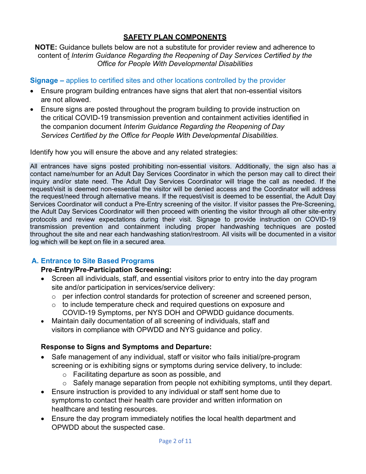# **SAFETY PLAN COMPONENTS**

#### **NOTE:** Guidance bullets below are not a substitute for provider review and adherence to content of *Interim Guidance Regarding the Reopening of Day Services Certified by the Office for People With Developmental Disabilities*

## **Signage –** applies to certified sites and other locations controlled by the provider

- Ensure program building entrances have signs that alert that non-essential visitors are not allowed.
- Ensure signs are posted throughout the program building to provide instruction on the critical COVID-19 transmission prevention and containment activities identified in the companion document *Interim Guidance Regarding the Reopening of Day Services Certified by the Office for People With Developmental Disabilities.*

Identify how you will ensure the above and any related strategies:

All entrances have signs posted prohibiting non-essential visitors. Additionally, the sign also has a contact name/number for an Adult Day Services Coordinator in which the person may call to direct their inquiry and/or state need. The Adult Day Services Coordinator will triage the call as needed. If the request/visit is deemed non-essential the visitor will be denied access and the Coordinator will address the request/need through alternative means. If the request/visit is deemed to be essential, the Adult Day Services Coordinator will conduct a Pre-Entry screening of the visitor. If visitor passes the Pre-Screening, the Adult Day Services Coordinator will then proceed with orienting the visitor through all other site-entry protocols and review expectations during their visit. Signage to provide instruction on COVID-19 transmission prevention and containment including proper handwashing techniques are posted throughout the site and near each handwashing station/restroom. All visits will be documented in a visitor log which will be kept on file in a secured area.

# **A. Entrance to Site Based Programs**

#### **Pre-Entry/Pre-Participation Screening:**

- Screen all individuals, staff, and essential visitors prior to entry into the day program site and/or participation in services/service delivery:
	- o per infection control standards for protection of screener and screened person,
	- $\circ$  to include temperature check and required questions on exposure and COVID-19 Symptoms, per NYS DOH and OPWDD guidance documents.
- Maintain daily documentation of all screening of individuals, staff and visitors in compliance with OPWDD and NYS guidance and policy.

# **Response to Signs and Symptoms and Departure:**

- Safe management of any individual, staff or visitor who fails initial/pre-program screening or is exhibiting signs or symptoms during service delivery, to include:
	- o Facilitating departure as soon as possible, and
	- o Safely manage separation from people not exhibiting symptoms, until they depart.
- Ensure instruction is provided to any individual or staff sent home due to symptoms to contact their health care provider and written information on healthcare and testing resources.
- Ensure the day program immediately notifies the local health department and OPWDD about the suspected case.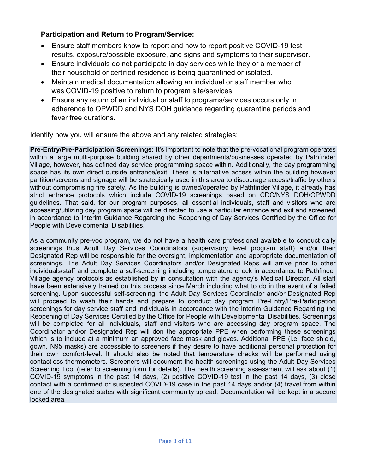# **Participation and Return to Program/Service:**

- Ensure staff members know to report and how to report positive COVID-19 test results, exposure/possible exposure, and signs and symptoms to their supervisor.
- Ensure individuals do not participate in day services while they or a member of their household or certified residence is being quarantined or isolated.
- Maintain medical documentation allowing an individual or staff member who was COVID-19 positive to return to program site/services.
- Ensure any return of an individual or staff to programs/services occurs only in adherence to OPWDD and NYS DOH guidance regarding quarantine periods and fever free durations.

Identify how you will ensure the above and any related strategies:

**Pre-Entry/Pre-Participation Screenings:** It's important to note that the pre-vocational program operates within a large multi-purpose building shared by other departments/businesses operated by Pathfinder Village, however, has defined day service programming space within. Additionally, the day programming space has its own direct outside entrance/exit. There is alternative access within the building however partition/screens and signage will be strategically used in this area to discourage access/traffic by others without compromising fire safety. As the building is owned/operated by Pathfinder Village, it already has strict entrance protocols which include COVID-19 screenings based on CDC/NYS DOH/OPWDD guidelines. That said, for our program purposes, all essential individuals, staff and visitors who are accessing/utilizing day program space will be directed to use a particular entrance and exit and screened in accordance to Interim Guidance Regarding the Reopening of Day Services Certified by the Office for People with Developmental Disabilities.

As a community pre-voc program, we do not have a health care professional available to conduct daily screenings thus Adult Day Services Coordinators (supervisory level program staff) and/or their Designated Rep will be responsible for the oversight, implementation and appropriate documentation of screenings. The Adult Day Services Coordinators and/or Designated Reps will arrive prior to other individuals/staff and complete a self-screening including temperature check in accordance to Pathfinder Village agency protocols as established by in consultation with the agency's Medical Director. All staff have been extensively trained on this process since March including what to do in the event of a failed screening. Upon successful self-screening, the Adult Day Services Coordinator and/or Designated Rep will proceed to wash their hands and prepare to conduct day program Pre-Entry/Pre-Participation screenings for day service staff and individuals in accordance with the Interim Guidance Regarding the Reopening of Day Services Certified by the Office for People with Developmental Disabilities. Screenings will be completed for all individuals, staff and visitors who are accessing day program space. The Coordinator and/or Designated Rep will don the appropriate PPE when performing these screenings which is to include at a minimum an approved face mask and gloves. Additional PPE (i.e. face shield, gown, N95 masks) are accessible to screeners if they desire to have additional personal protection for their own comfort-level. It should also be noted that temperature checks will be performed using contactless thermometers. Screeners will document the health screenings using the Adult Day Services Screening Tool (refer to screening form for details). The health screening assessment will ask about (1) COVID-19 symptoms in the past 14 days, (2) positive COVID-19 test in the past 14 days, (3) close contact with a confirmed or suspected COVID-19 case in the past 14 days and/or (4) travel from within one of the designated states with significant community spread. Documentation will be kept in a secure locked area.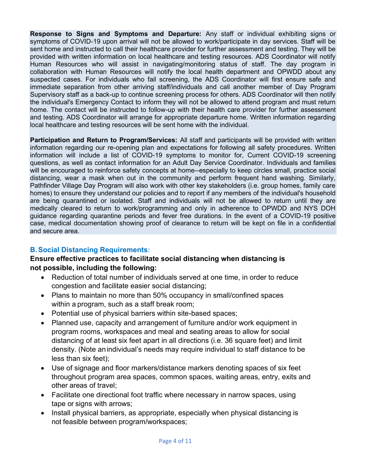**Response to Signs and Symptoms and Departure:** Any staff or individual exhibiting signs or symptoms of COVID-19 upon arrival will not be allowed to work/participate in day services. Staff will be sent home and instructed to call their healthcare provider for further assessment and testing. They will be provided with written information on local healthcare and testing resources. ADS Coordinator will notify Human Resources who will assist in navigating/monitoring status of staff. The day program in collaboration with Human Resources will notify the local health department and OPWDD about any suspected cases. For individuals who fail screening, the ADS Coordinator will first ensure safe and immediate separation from other arriving staff/individuals and call another member of Day Program Supervisory staff as a back-up to continue screening process for others. ADS Coordinator will then notify the individual's Emergency Contact to inform they will not be allowed to attend program and must return home. The contact will be instructed to follow-up with their health care provider for further assessment and testing. ADS Coordinator will arrange for appropriate departure home. Written information regarding local healthcare and testing resources will be sent home with the individual.

**Participation and Return to Program/Services:** All staff and participants will be provided with written information regarding our re-opening plan and expectations for following all safety procedures. Written information will include a list of COVID-19 symptoms to monitor for, Current COVID-19 screening questions, as well as contact information for an Adult Day Service Coordinator. Individuals and families will be encouraged to reinforce safety concepts at home--especially to keep circles small, practice social distancing, wear a mask when out in the community and perform frequent hand washing. Similarly, Pathfinder Village Day Program will also work with other key stakeholders (i.e. group homes, family care homes) to ensure they understand our policies and to report if any members of the individual's household are being quarantined or isolated. Staff and individuals will not be allowed to return until they are medically cleared to return to work/programming and only in adherence to OPWDD and NYS DOH guidance regarding quarantine periods and fever free durations. In the event of a COVID-19 positive case, medical documentation showing proof of clearance to return will be kept on file in a confidential and secure area.

# **B.Social Distancing Requirements**:

# **Ensure effective practices to facilitate social distancing when distancing is not possible, including the following:**

- Reduction of total number of individuals served at one time, in order to reduce congestion and facilitate easier social distancing;
- Plans to maintain no more than 50% occupancy in small/confined spaces within a program, such as a staff break room;
- Potential use of physical barriers within site-based spaces;
- Planned use, capacity and arrangement of furniture and/or work equipment in program rooms, workspaces and meal and seating areas to allow for social distancing of at least six feet apart in all directions (i.e. 36 square feet) and limit density. (Note anindividual's needs may require individual to staff distance to be less than six feet);
- Use of signage and floor markers/distance markers denoting spaces of six feet throughout program area spaces, common spaces, waiting areas, entry, exits and other areas of travel;
- Facilitate one directional foot traffic where necessary in narrow spaces, using tape or signs with arrows;
- Install physical barriers, as appropriate, especially when physical distancing is not feasible between program/workspaces;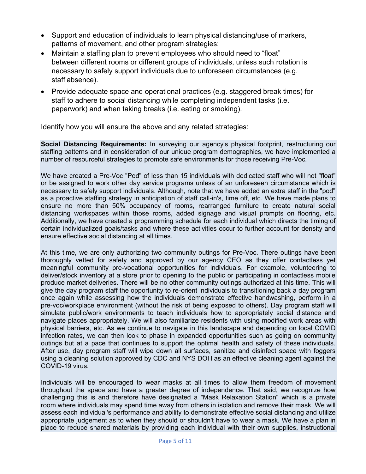- Support and education of individuals to learn physical distancing/use of markers, patterns of movement, and other program strategies;
- Maintain a staffing plan to prevent employees who should need to "float" between different rooms or different groups of individuals, unless such rotation is necessary to safely support individuals due to unforeseen circumstances (e.g. staff absence).
- Provide adequate space and operational practices (e.g. staggered break times) for staff to adhere to social distancing while completing independent tasks (i.e. paperwork) and when taking breaks (i.e. eating or smoking).

Identify how you will ensure the above and any related strategies:

**Social Distancing Requirements:** In surveying our agency's physical footprint, restructuring our staffing patterns and in consideration of our unique program demographics, we have implemented a number of resourceful strategies to promote safe environments for those receiving Pre-Voc.

We have created a Pre-Voc "Pod" of less than 15 individuals with dedicated staff who will not "float" or be assigned to work other day service programs unless of an unforeseen circumstance which is necessary to safely support individuals. Although, note that we have added an extra staff in the "pod" as a proactive staffing strategy in anticipation of staff call-in's, time off, etc. We have made plans to ensure no more than 50% occupancy of rooms, rearranged furniture to create natural social distancing workspaces within those rooms, added signage and visual prompts on flooring, etc. Additionally, we have created a programming schedule for each individual which directs the timing of certain individualized goals/tasks and where these activities occur to further account for density and ensure effective social distancing at all times.

At this time, we are only authorizing two community outings for Pre-Voc. There outings have been thoroughly vetted for safety and approved by our agency CEO as they offer contactless yet meaningful community pre-vocational opportunities for individuals. For example, volunteering to deliver/stock inventory at a store prior to opening to the public or participating in contactless mobile produce market deliveries. There will be no other community outings authorized at this time. This will give the day program staff the opportunity to re-orient individuals to transitioning back a day program once again while assessing how the individuals demonstrate effective handwashing, perform in a pre-voc/workplace environment (without the risk of being exposed to others). Day program staff will simulate public/work environments to teach individuals how to appropriately social distance and navigate places appropriately. We will also familiarize residents with using modified work areas with physical barriers, etc. As we continue to navigate in this landscape and depending on local COVID infection rates, we can then look to phase in expanded opportunities such as going on community outings but at a pace that continues to support the optimal health and safety of these individuals. After use, day program staff will wipe down all surfaces, sanitize and disinfect space with foggers using a cleaning solution approved by CDC and NYS DOH as an effective cleaning agent against the COVID-19 virus.

Individuals will be encouraged to wear masks at all times to allow them freedom of movement throughout the space and have a greater degree of independence. That said, we recognize how challenging this is and therefore have designated a "Mask Relaxation Station" which is a private room where individuals may spend time away from others in isolation and remove their mask. We will assess each individual's performance and ability to demonstrate effective social distancing and utilize appropriate judgement as to when they should or shouldn't have to wear a mask. We have a plan in place to reduce shared materials by providing each individual with their own supplies, instructional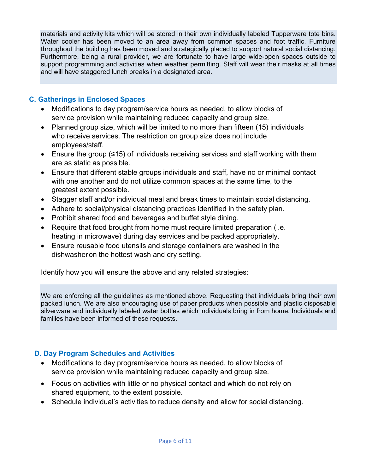materials and activity kits which will be stored in their own individually labeled Tupperware tote bins. Water cooler has been moved to an area away from common spaces and foot traffic. Furniture throughout the building has been moved and strategically placed to support natural social distancing. Furthermore, being a rural provider, we are fortunate to have large wide-open spaces outside to support programming and activities when weather permitting. Staff will wear their masks at all times and will have staggered lunch breaks in a designated area.

# **C. Gatherings in Enclosed Spaces**

- Modifications to day program/service hours as needed, to allow blocks of service provision while maintaining reduced capacity and group size.
- Planned group size, which will be limited to no more than fifteen (15) individuals who receive services. The restriction on group size does not include employees/staff.
- Ensure the group (≤15) of individuals receiving services and staff working with them are as static as possible.
- Ensure that different stable groups individuals and staff, have no or minimal contact with one another and do not utilize common spaces at the same time, to the greatest extent possible.
- Stagger staff and/or individual meal and break times to maintain social distancing.
- Adhere to social/physical distancing practices identified in the safety plan.
- Prohibit shared food and beverages and buffet style dining.
- Require that food brought from home must require limited preparation (i.e. heating in microwave) during day services and be packed appropriately.
- Ensure reusable food utensils and storage containers are washed in the dishwasheron the hottest wash and dry setting.

Identify how you will ensure the above and any related strategies:

We are enforcing all the guidelines as mentioned above. Requesting that individuals bring their own packed lunch. We are also encouraging use of paper products when possible and plastic disposable silverware and individually labeled water bottles which individuals bring in from home. Individuals and families have been informed of these requests.

# **D. Day Program Schedules and Activities**

- Modifications to day program/service hours as needed, to allow blocks of service provision while maintaining reduced capacity and group size.
- Focus on activities with little or no physical contact and which do not rely on shared equipment, to the extent possible.
- Schedule individual's activities to reduce density and allow for social distancing.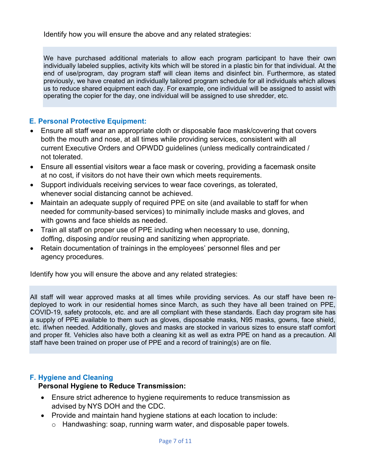Identify how you will ensure the above and any related strategies:

We have purchased additional materials to allow each program participant to have their own individually labeled supplies, activity kits which will be stored in a plastic bin for that individual. At the end of use/program, day program staff will clean items and disinfect bin. Furthermore, as stated previously, we have created an individually tailored program schedule for all individuals which allows us to reduce shared equipment each day. For example, one individual will be assigned to assist with operating the copier for the day, one individual will be assigned to use shredder, etc.

# **E. Personal Protective Equipment:**

- Ensure all staff wear an appropriate cloth or disposable face mask/covering that covers both the mouth and nose, at all times while providing services, consistent with all current Executive Orders and OPWDD guidelines (unless medically contraindicated / not tolerated.
- Ensure all essential visitors wear a face mask or covering, providing a facemask onsite at no cost, if visitors do not have their own which meets requirements.
- Support individuals receiving services to wear face coverings, as tolerated, whenever social distancing cannot be achieved.
- Maintain an adequate supply of required PPE on site (and available to staff for when needed for community-based services) to minimally include masks and gloves, and with gowns and face shields as needed.
- Train all staff on proper use of PPE including when necessary to use, donning, doffing, disposing and/or reusing and sanitizing when appropriate.
- Retain documentation of trainings in the employees' personnel files and per agency procedures.

Identify how you will ensure the above and any related strategies:

All staff will wear approved masks at all times while providing services. As our staff have been redeployed to work in our residential homes since March, as such they have all been trained on PPE, COVID-19, safety protocols, etc. and are all compliant with these standards. Each day program site has a supply of PPE available to them such as gloves, disposable masks, N95 masks, gowns, face shield, etc. if/when needed. Additionally, gloves and masks are stocked in various sizes to ensure staff comfort and proper fit. Vehicles also have both a cleaning kit as well as extra PPE on hand as a precaution. All staff have been trained on proper use of PPE and a record of training(s) are on file.

#### **F. Hygiene and Cleaning**

#### **Personal Hygiene to Reduce Transmission:**

- Ensure strict adherence to hygiene requirements to reduce transmission as advised by NYS DOH and the CDC.
- Provide and maintain hand hygiene stations at each location to include:
	- o Handwashing: soap, running warm water, and disposable paper towels.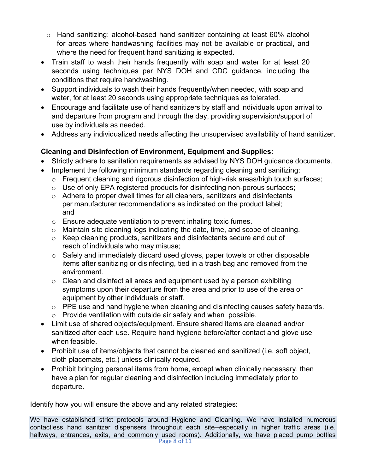- $\circ$  Hand sanitizing: alcohol-based hand sanitizer containing at least 60% alcohol for areas where handwashing facilities may not be available or practical, and where the need for frequent hand sanitizing is expected.
- Train staff to wash their hands frequently with soap and water for at least 20 seconds using techniques per NYS DOH and CDC guidance, including the conditions that require handwashing.
- Support individuals to wash their hands frequently/when needed, with soap and water, for at least 20 seconds using appropriate techniques as tolerated.
- Encourage and facilitate use of hand sanitizers by staff and individuals upon arrival to and departure from program and through the day, providing supervision/support of use by individuals as needed.
- Address any individualized needs affecting the unsupervised availability of hand sanitizer.

# **Cleaning and Disinfection of Environment, Equipment and Supplies:**

- Strictly adhere to sanitation requirements as advised by NYS DOH guidance documents.
- Implement the following minimum standards regarding cleaning and sanitizing:
	- $\circ$  Frequent cleaning and rigorous disinfection of high-risk areas/high touch surfaces;
	- o Use of only EPA registered products for disinfecting non-porous surfaces;
	- o Adhere to proper dwell times for all cleaners, sanitizers and disinfectants per manufacturer recommendations as indicated on the product label; and
	- o Ensure adequate ventilation to prevent inhaling toxic fumes.
	- o Maintain site cleaning logs indicating the date, time, and scope of cleaning.
	- o Keep cleaning products, sanitizers and disinfectants secure and out of reach of individuals who may misuse;
	- o Safely and immediately discard used gloves, paper towels or other disposable items after sanitizing or disinfecting, tied in a trash bag and removed from the environment.
	- $\circ$  Clean and disinfect all areas and equipment used by a person exhibiting symptoms upon their departure from the area and prior to use of the area or equipment by other individuals or staff.
	- o PPE use and hand hygiene when cleaning and disinfecting causes safety hazards.
	- o Provide ventilation with outside air safely and when possible.
- Limit use of shared objects/equipment. Ensure shared items are cleaned and/or sanitized after each use. Require hand hygiene before/after contact and glove use when feasible.
- Prohibit use of items/objects that cannot be cleaned and sanitized (i.e. soft object, cloth placemats, etc.) unless clinically required.
- Prohibit bringing personal items from home, except when clinically necessary, then have a plan for regular cleaning and disinfection including immediately prior to departure.

Identify how you will ensure the above and any related strategies:

Page 8 of 11 We have established strict protocols around Hygiene and Cleaning. We have installed numerous contactless hand sanitizer dispensers throughout each site--especially in higher traffic areas (i.e. hallways, entrances, exits, and commonly used rooms). Additionally, we have placed pump bottles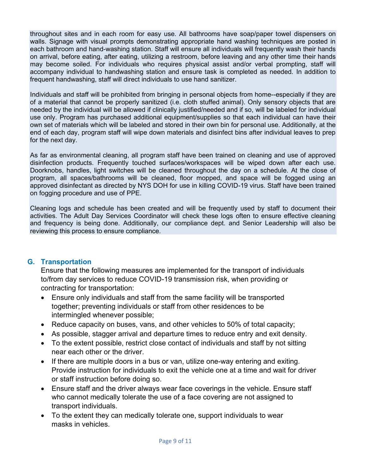throughout sites and in each room for easy use. All bathrooms have soap/paper towel dispensers on walls. Signage with visual prompts demonstrating appropriate hand washing techniques are posted in each bathroom and hand-washing station. Staff will ensure all individuals will frequently wash their hands on arrival, before eating, after eating, utilizing a restroom, before leaving and any other time their hands may become soiled. For individuals who requires physical assist and/or verbal prompting, staff will accompany individual to handwashing station and ensure task is completed as needed. In addition to frequent handwashing, staff will direct individuals to use hand sanitizer.

Individuals and staff will be prohibited from bringing in personal objects from home--especially if they are of a material that cannot be properly sanitized (i.e. cloth stuffed animal). Only sensory objects that are needed by the individual will be allowed if clinically justified/needed and if so, will be labeled for individual use only. Program has purchased additional equipment/supplies so that each individual can have their own set of materials which will be labeled and stored in their own bin for personal use. Additionally, at the end of each day, program staff will wipe down materials and disinfect bins after individual leaves to prep for the next day.

As far as environmental cleaning, all program staff have been trained on cleaning and use of approved disinfection products. Frequently touched surfaces/workspaces will be wiped down after each use. Doorknobs, handles, light switches will be cleaned throughout the day on a schedule. At the close of program, all spaces/bathrooms will be cleaned, floor mopped, and space will be fogged using an approved disinfectant as directed by NYS DOH for use in killing COVID-19 virus. Staff have been trained on fogging procedure and use of PPE.

Cleaning logs and schedule has been created and will be frequently used by staff to document their activities. The Adult Day Services Coordinator will check these logs often to ensure effective cleaning and frequency is being done. Additionally, our compliance dept. and Senior Leadership will also be reviewing this process to ensure compliance.

#### **G. Transportation**

Ensure that the following measures are implemented for the transport of individuals to/from day services to reduce COVID-19 transmission risk, when providing or contracting for transportation:

- Ensure only individuals and staff from the same facility will be transported together; preventing individuals or staff from other residences to be intermingled whenever possible;
- Reduce capacity on buses, vans, and other vehicles to 50% of total capacity;
- As possible, stagger arrival and departure times to reduce entry and exit density.
- To the extent possible, restrict close contact of individuals and staff by not sitting near each other or the driver.
- If there are multiple doors in a bus or van, utilize one-way entering and exiting. Provide instruction for individuals to exit the vehicle one at a time and wait for driver or staff instruction before doing so.
- Ensure staff and the driver always wear face coverings in the vehicle. Ensure staff who cannot medically tolerate the use of a face covering are not assigned to transport individuals.
- To the extent they can medically tolerate one, support individuals to wear masks in vehicles.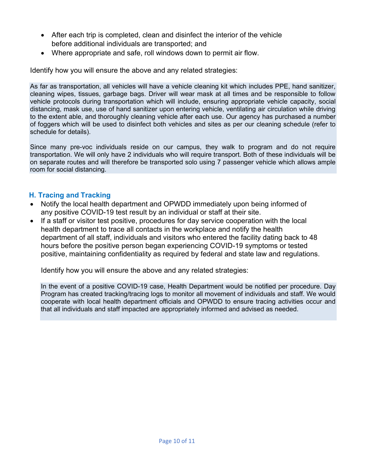- After each trip is completed, clean and disinfect the interior of the vehicle before additional individuals are transported; and
- Where appropriate and safe, roll windows down to permit air flow.

Identify how you will ensure the above and any related strategies:

As far as transportation, all vehicles will have a vehicle cleaning kit which includes PPE, hand sanitizer, cleaning wipes, tissues, garbage bags. Driver will wear mask at all times and be responsible to follow vehicle protocols during transportation which will include, ensuring appropriate vehicle capacity, social distancing, mask use, use of hand sanitizer upon entering vehicle, ventilating air circulation while driving to the extent able, and thoroughly cleaning vehicle after each use. Our agency has purchased a number of foggers which will be used to disinfect both vehicles and sites as per our cleaning schedule (refer to schedule for details).

Since many pre-voc individuals reside on our campus, they walk to program and do not require transportation. We will only have 2 individuals who will require transport. Both of these individuals will be on separate routes and will therefore be transported solo using 7 passenger vehicle which allows ample room for social distancing.

# **H. Tracing and Tracking**

- Notify the local health department and OPWDD immediately upon being informed of any positive COVID-19 test result by an individual or staff at their site.
- If a staff or visitor test positive, procedures for day service cooperation with the local health department to trace all contacts in the workplace and notify the health department of all staff, individuals and visitors who entered the facility dating back to 48 hours before the positive person began experiencing COVID-19 symptoms or tested positive, maintaining confidentiality as required by federal and state law and regulations.

Identify how you will ensure the above and any related strategies:

In the event of a positive COVID-19 case, Health Department would be notified per procedure. Day Program has created tracking/tracing logs to monitor all movement of individuals and staff. We would cooperate with local health department officials and OPWDD to ensure tracing activities occur and that all individuals and staff impacted are appropriately informed and advised as needed.